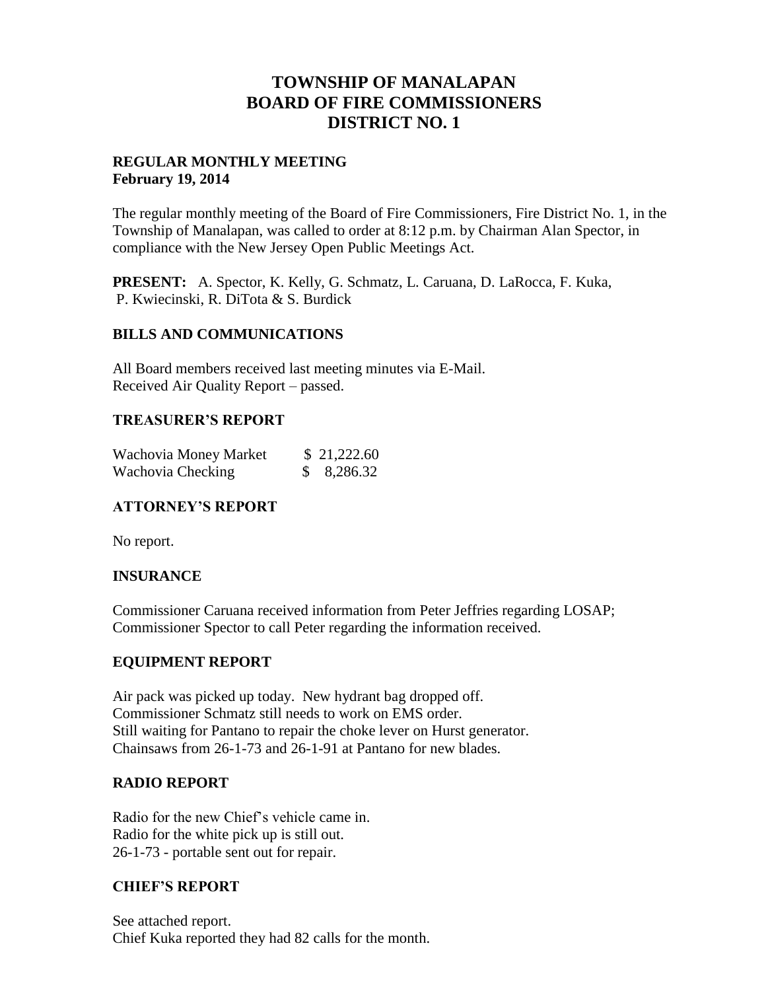# **TOWNSHIP OF MANALAPAN BOARD OF FIRE COMMISSIONERS DISTRICT NO. 1**

## **REGULAR MONTHLY MEETING February 19, 2014**

The regular monthly meeting of the Board of Fire Commissioners, Fire District No. 1, in the Township of Manalapan, was called to order at 8:12 p.m. by Chairman Alan Spector, in compliance with the New Jersey Open Public Meetings Act.

**PRESENT:** A. Spector, K. Kelly, G. Schmatz, L. Caruana, D. LaRocca, F. Kuka, P. Kwiecinski, R. DiTota & S. Burdick

## **BILLS AND COMMUNICATIONS**

All Board members received last meeting minutes via E-Mail. Received Air Quality Report – passed.

## **TREASURER'S REPORT**

| Wachovia Money Market | \$21,222.60 |
|-----------------------|-------------|
| Wachovia Checking     | 8,286.32    |

## **ATTORNEY'S REPORT**

No report.

## **INSURANCE**

Commissioner Caruana received information from Peter Jeffries regarding LOSAP; Commissioner Spector to call Peter regarding the information received.

## **EQUIPMENT REPORT**

Air pack was picked up today. New hydrant bag dropped off. Commissioner Schmatz still needs to work on EMS order. Still waiting for Pantano to repair the choke lever on Hurst generator. Chainsaws from 26-1-73 and 26-1-91 at Pantano for new blades.

## **RADIO REPORT**

Radio for the new Chief's vehicle came in. Radio for the white pick up is still out. 26-1-73 - portable sent out for repair.

## **CHIEF'S REPORT**

See attached report. Chief Kuka reported they had 82 calls for the month.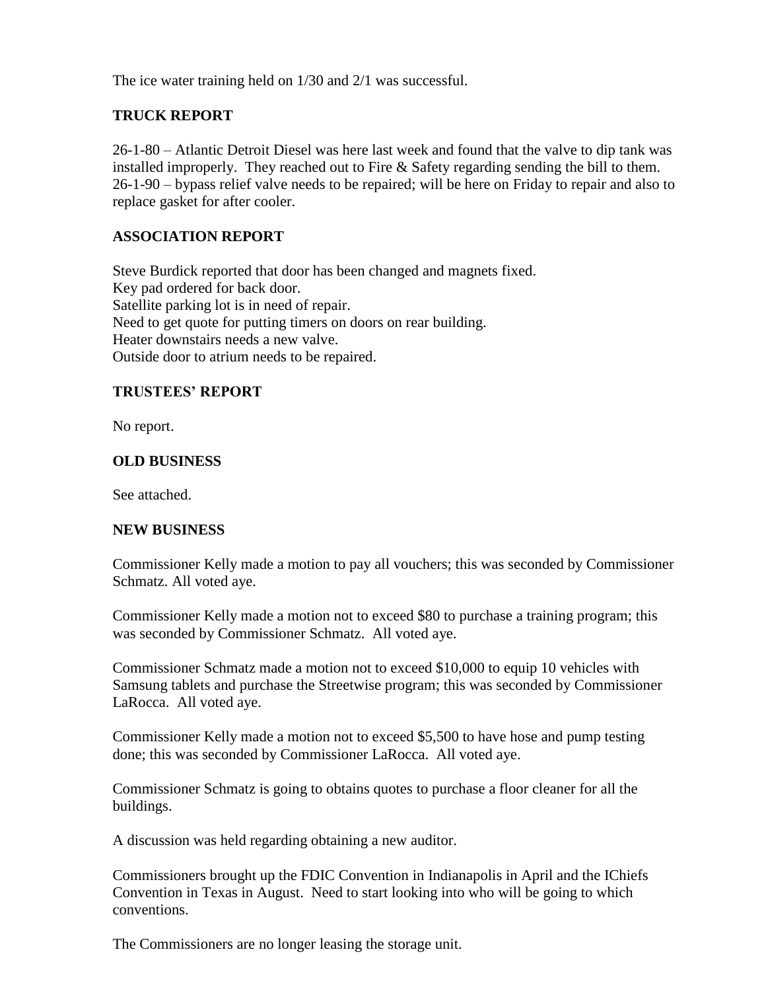The ice water training held on 1/30 and 2/1 was successful.

## **TRUCK REPORT**

26-1-80 – Atlantic Detroit Diesel was here last week and found that the valve to dip tank was installed improperly. They reached out to Fire & Safety regarding sending the bill to them. 26-1-90 – bypass relief valve needs to be repaired; will be here on Friday to repair and also to replace gasket for after cooler.

## **ASSOCIATION REPORT**

Steve Burdick reported that door has been changed and magnets fixed. Key pad ordered for back door. Satellite parking lot is in need of repair. Need to get quote for putting timers on doors on rear building. Heater downstairs needs a new valve. Outside door to atrium needs to be repaired.

## **TRUSTEES' REPORT**

No report.

## **OLD BUSINESS**

See attached.

## **NEW BUSINESS**

Commissioner Kelly made a motion to pay all vouchers; this was seconded by Commissioner Schmatz. All voted aye.

Commissioner Kelly made a motion not to exceed \$80 to purchase a training program; this was seconded by Commissioner Schmatz. All voted aye.

Commissioner Schmatz made a motion not to exceed \$10,000 to equip 10 vehicles with Samsung tablets and purchase the Streetwise program; this was seconded by Commissioner LaRocca. All voted aye.

Commissioner Kelly made a motion not to exceed \$5,500 to have hose and pump testing done; this was seconded by Commissioner LaRocca. All voted aye.

Commissioner Schmatz is going to obtains quotes to purchase a floor cleaner for all the buildings.

A discussion was held regarding obtaining a new auditor.

Commissioners brought up the FDIC Convention in Indianapolis in April and the IChiefs Convention in Texas in August. Need to start looking into who will be going to which conventions.

The Commissioners are no longer leasing the storage unit.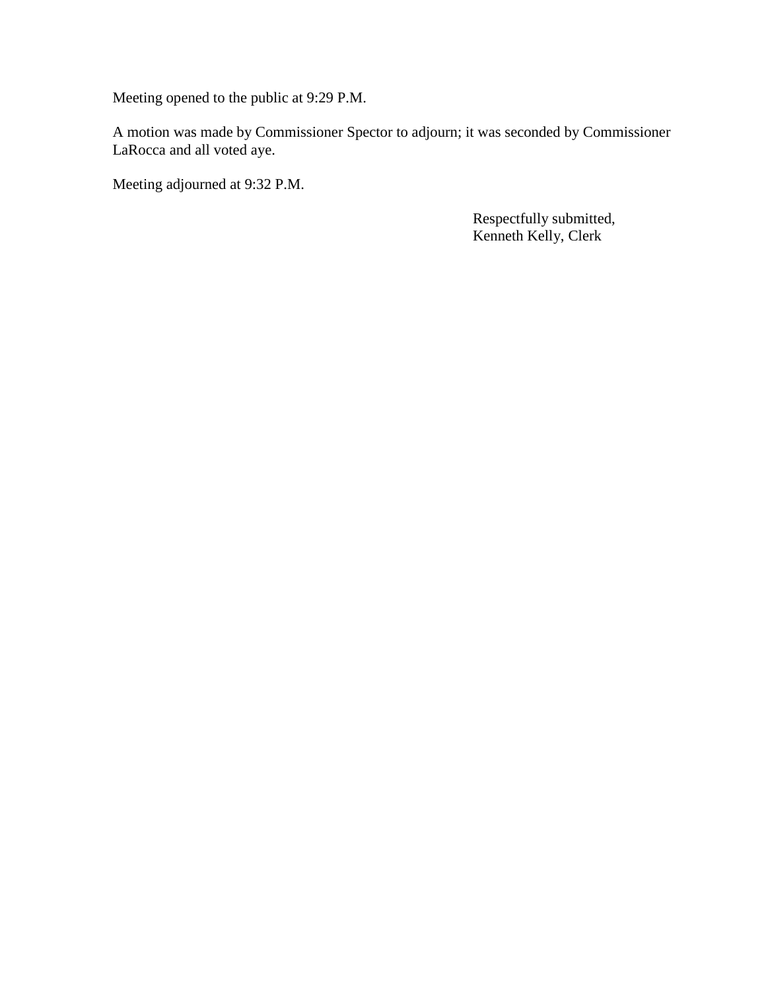Meeting opened to the public at 9:29 P.M.

A motion was made by Commissioner Spector to adjourn; it was seconded by Commissioner LaRocca and all voted aye.

Meeting adjourned at 9:32 P.M.

 Respectfully submitted, Kenneth Kelly, Clerk